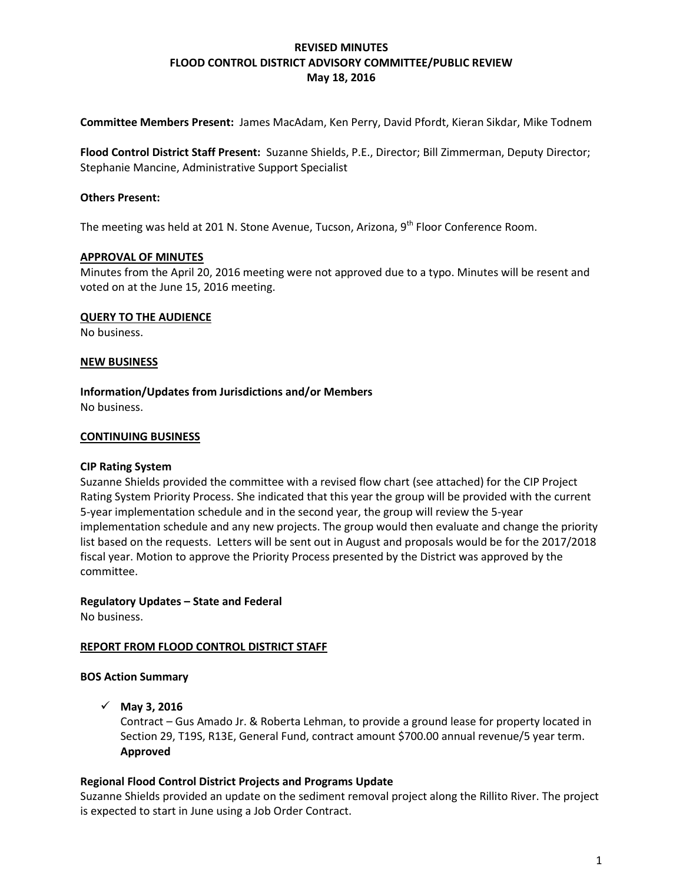## **REVISED MINUTES FLOOD CONTROL DISTRICT ADVISORY COMMITTEE/PUBLIC REVIEW May 18, 2016**

**Committee Members Present:** James MacAdam, Ken Perry, David Pfordt, Kieran Sikdar, Mike Todnem

**Flood Control District Staff Present:** Suzanne Shields, P.E., Director; Bill Zimmerman, Deputy Director; Stephanie Mancine, Administrative Support Specialist

#### **Others Present:**

The meeting was held at 201 N. Stone Avenue, Tucson, Arizona, 9<sup>th</sup> Floor Conference Room.

#### **APPROVAL OF MINUTES**

Minutes from the April 20, 2016 meeting were not approved due to a typo. Minutes will be resent and voted on at the June 15, 2016 meeting.

### **QUERY TO THE AUDIENCE**

No business.

#### **NEW BUSINESS**

**Information/Updates from Jurisdictions and/or Members** No business.

#### **CONTINUING BUSINESS**

#### **CIP Rating System**

Suzanne Shields provided the committee with a revised flow chart (see attached) for the CIP Project Rating System Priority Process. She indicated that this year the group will be provided with the current 5-year implementation schedule and in the second year, the group will review the 5-year implementation schedule and any new projects. The group would then evaluate and change the priority list based on the requests. Letters will be sent out in August and proposals would be for the 2017/2018 fiscal year. Motion to approve the Priority Process presented by the District was approved by the committee.

#### **Regulatory Updates – State and Federal**

No business.

#### **REPORT FROM FLOOD CONTROL DISTRICT STAFF**

#### **BOS Action Summary**

#### **May 3, 2016**

Contract – Gus Amado Jr. & Roberta Lehman, to provide a ground lease for property located in Section 29, T19S, R13E, General Fund, contract amount \$700.00 annual revenue/5 year term. **Approved**

#### **Regional Flood Control District Projects and Programs Update**

Suzanne Shields provided an update on the sediment removal project along the Rillito River. The project is expected to start in June using a Job Order Contract.